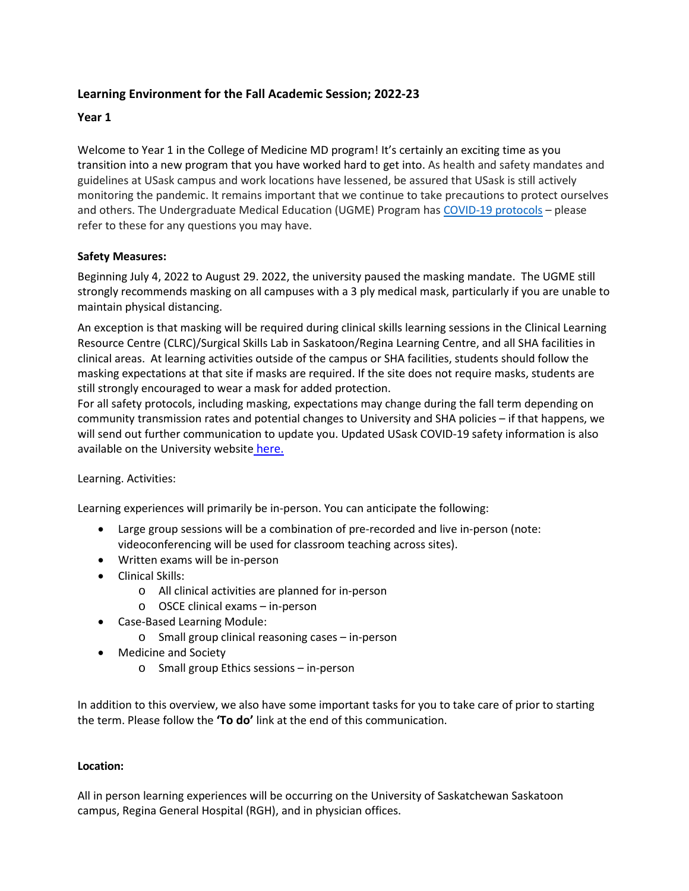# **Learning Environment for the Fall Academic Session; 2022-23**

# **Year 1**

Welcome to Year 1 in the College of Medicine MD program! It's certainly an exciting time as you transition into a new program that you have worked hard to get into. As health and safety mandates and guidelines at USask campus and work locations have lessened, be assured that USask is still actively monitoring the pandemic. It remains important that we continue to take precautions to protect ourselves and others. The Undergraduate Medical Education (UGME) Program has COVID-19 protocols - please refer to these for any questions you may have.

# **Safety Measures:**

Beginning July 4, 2022 to August 29. 2022, the university paused the masking mandate. The UGME still strongly recommends masking on all campuses with a 3 ply medical mask, particularly if you are unable to maintain physical distancing.

An exception is that masking will be required during clinical skills learning sessions in the Clinical Learning Resource Centre (CLRC)/Surgical Skills Lab in Saskatoon/Regina Learning Centre, and all SHA facilities in clinical areas. At learning activities outside of the campus or SHA facilities, students should follow the masking expectations at that site if masks are required. If the site does not require masks, students are still strongly encouraged to wear a mask for added protection.

For all safety protocols, including masking, expectations may change during the fall term depending on community transmission rates and potential changes to University and SHA policies – if that happens, we will send out further communication to update you. Updated USask COVID-19 safety information is also available on the University website here.

### Learning. Activities:

Learning experiences will primarily be in-person. You can anticipate the following:

- Large group sessions will be a combination of pre-recorded and live in-person (note: videoconferencing will be used for classroom teaching across sites).
- Written exams will be in-person
- Clinical Skills:
	- o All clinical activities are planned for in-person
	- o OSCE clinical exams in-person
- Case-Based Learning Module:
	- o Small group clinical reasoning cases in-person
- Medicine and Society
	- o Small group Ethics sessions in-person

In addition to this overview, we also have some important tasks for you to take care of prior to starting the term. Please follow the **'To do'** link at the end of this communication.

### **Location:**

All in person learning experiences will be occurring on the University of Saskatchewan Saskatoon campus, Regina General Hospital (RGH), and in physician offices.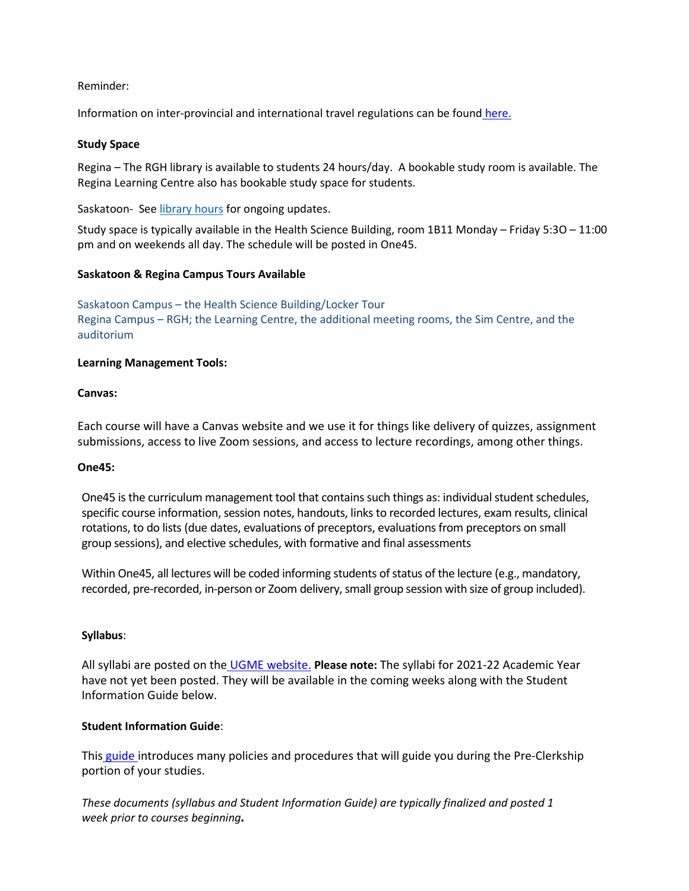### Reminder:

Information on inter-provincial and international travel regulations can be found here.

### **Study Space**

Regina – The RGH library is available to students 24 hours/day. A bookable study room is available. The Regina Learning Centre also has bookable study space for students.

Saskatoon- See library hours for ongoing updates.

Study space is typically available in the Health Science Building, room 1B11 Monday – Friday 5:3O – 11:00 pm and on weekends all day. The schedule will be posted in One45.

### **Saskatoon & Regina Campus Tours Available**

Saskatoon Campus – the Health Science Building/Locker Tour Regina Campus – RGH; the Learning Centre, the additional meeting rooms, the Sim Centre, and the auditorium

### **Learning Management Tools:**

#### **Canvas:**

Each course will have a Canvas website and we use it for things like delivery of quizzes, assignment submissions, access to live Zoom sessions, and access to lecture recordings, among other things.

#### **One45:**

One45 is the curriculum management tool that contains such things as: individual student schedules, specific course information, session notes, handouts, links to recorded lectures, exam results, clinical rotations, to do lists (due dates, evaluations of preceptors, evaluations from preceptors on small group sessions), and elective schedules, with formative and final assessments

Within One45, all lectures will be coded informing students of status of the lecture (e.g., mandatory, recorded, pre-recorded, in-person or Zoom delivery, small group session with size of group included).

### **Syllabus**:

All syllabi are posted on the UGME website. **Please note:** The syllabi for 2021-22 Academic Year have not yet been posted. They will be available in the coming weeks along with the Student Information Guide below.

### **Student Information Guide**:

This guide introduces many policies and procedures that will guide you during the Pre-Clerkship portion of your studies.

*These documents (syllabus and Student Information Guide) are typically finalized and posted 1 week prior to courses beginning.*